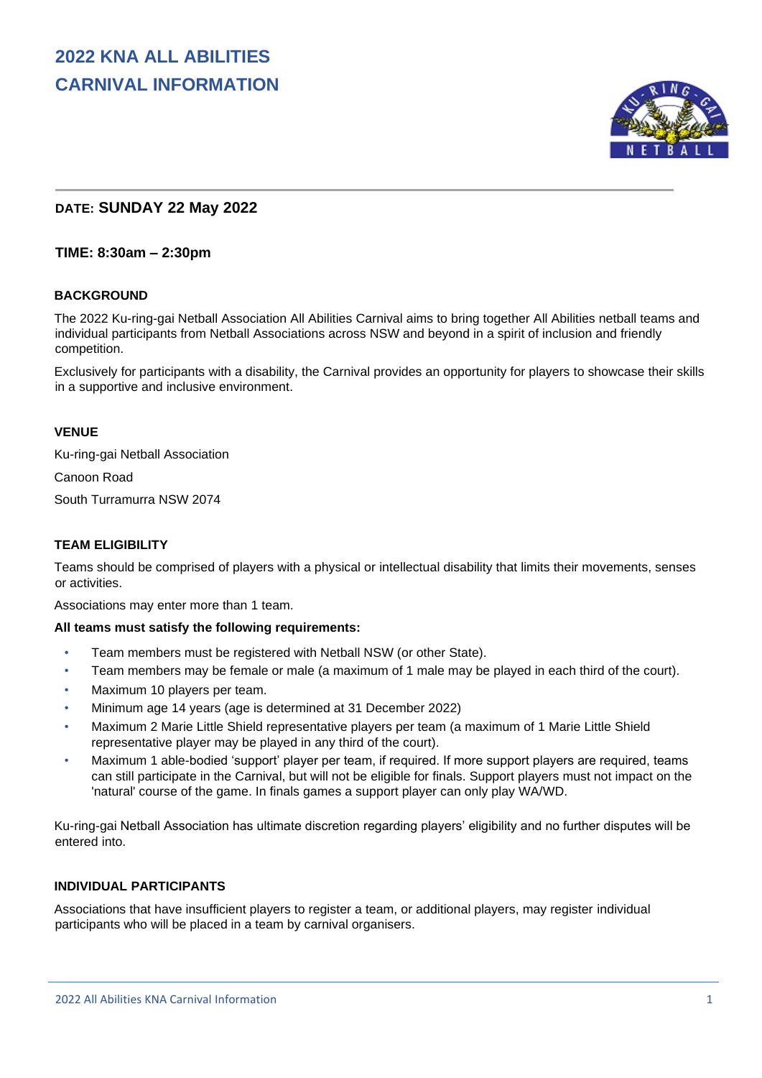

## **DATE: SUNDAY 22 May 2022**

## **TIME: 8:30am – 2:30pm**

#### **BACKGROUND**

The 2022 Ku-ring-gai Netball Association All Abilities Carnival aims to bring together All Abilities netball teams and individual participants from Netball Associations across NSW and beyond in a spirit of inclusion and friendly competition.

Exclusively for participants with a disability, the Carnival provides an opportunity for players to showcase their skills in a supportive and inclusive environment.

#### **VENUE**

Ku-ring-gai Netball Association

Canoon Road

South Turramurra NSW 2074

## **TEAM ELIGIBILITY**

Teams should be comprised of players with a physical or intellectual disability that limits their movements, senses or activities.

Associations may enter more than 1 team.

#### **All teams must satisfy the following requirements:**

- Team members must be registered with Netball NSW (or other State).
- Team members may be female or male (a maximum of 1 male may be played in each third of the court).
- Maximum 10 players per team.
- Minimum age 14 years (age is determined at 31 December 2022)
- Maximum 2 Marie Little Shield representative players per team (a maximum of 1 Marie Little Shield representative player may be played in any third of the court).
- Maximum 1 able-bodied 'support' player per team, if required. If more support players are required, teams can still participate in the Carnival, but will not be eligible for finals. Support players must not impact on the 'natural' course of the game. In finals games a support player can only play WA/WD.

Ku-ring-gai Netball Association has ultimate discretion regarding players' eligibility and no further disputes will be entered into.

## **INDIVIDUAL PARTICIPANTS**

Associations that have insufficient players to register a team, or additional players, may register individual participants who will be placed in a team by carnival organisers.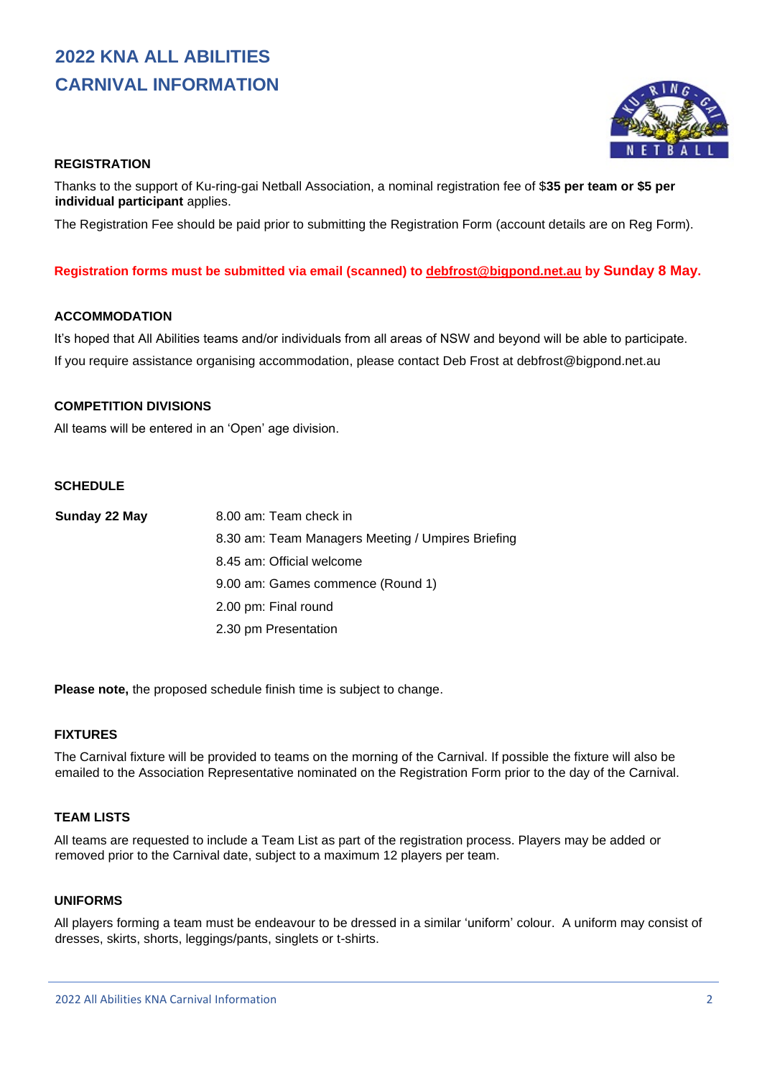# **2022 KNA ALL ABILITIES CARNIVAL INFORMATION**



## **REGISTRATION**

Thanks to the support of Ku-ring-gai Netball Association, a nominal registration fee of \$**35 per team or \$5 per individual participant** applies.

The Registration Fee should be paid prior to submitting the Registration Form (account details are on Reg Form).

#### **Registration forms must be submitted via email (scanned) to [debfrost@bigpond.net.au](mailto:debfrost@bigpond.net.au) by Sunday 8 May.**

### **ACCOMMODATION**

It's hoped that All Abilities teams and/or individuals from all areas of NSW and beyond will be able to participate. If you require assistance organising accommodation, please contact Deb Frost at debfrost@bigpond.net.au

#### **COMPETITION DIVISIONS**

All teams will be entered in an 'Open' age division.

## **SCHEDULE**

| Sunday 22 May | 8.00 am: Team check in                            |
|---------------|---------------------------------------------------|
|               | 8.30 am: Team Managers Meeting / Umpires Briefing |
|               | 8.45 am: Official welcome                         |
|               | 9.00 am: Games commence (Round 1)                 |
|               | 2.00 pm: Final round                              |
|               | 2.30 pm Presentation                              |

**Please note,** the proposed schedule finish time is subject to change.

#### **FIXTURES**

The Carnival fixture will be provided to teams on the morning of the Carnival. If possible the fixture will also be emailed to the Association Representative nominated on the Registration Form prior to the day of the Carnival.

## **TEAM LISTS**

All teams are requested to include a Team List as part of the registration process. Players may be added or removed prior to the Carnival date, subject to a maximum 12 players per team.

#### **UNIFORMS**

All players forming a team must be endeavour to be dressed in a similar 'uniform' colour. A uniform may consist of dresses, skirts, shorts, leggings/pants, singlets or t-shirts.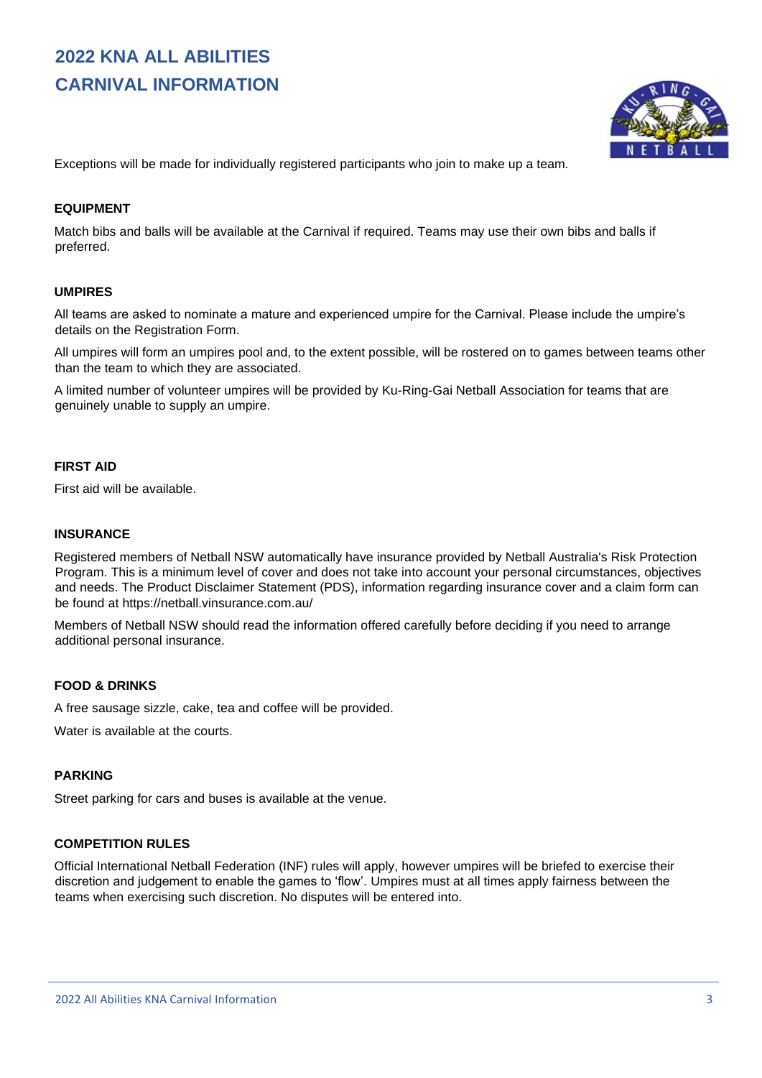# **2022 KNA ALL ABILITIES CARNIVAL INFORMATION**



Exceptions will be made for individually registered participants who join to make up a team.

#### **EQUIPMENT**

Match bibs and balls will be available at the Carnival if required. Teams may use their own bibs and balls if preferred.

#### **UMPIRES**

All teams are asked to nominate a mature and experienced umpire for the Carnival. Please include the umpire's details on the Registration Form.

All umpires will form an umpires pool and, to the extent possible, will be rostered on to games between teams other than the team to which they are associated.

A limited number of volunteer umpires will be provided by Ku-Ring-Gai Netball Association for teams that are genuinely unable to supply an umpire.

#### **FIRST AID**

First aid will be available.

## **INSURANCE**

Registered members of Netball NSW automatically have insurance provided by Netball Australia's Risk Protection Program. This is a minimum level of cover and does not take into account your personal circumstances, objectives and needs. The Product Disclaimer Statement (PDS), information regarding insurance cover and a claim form can be found at https://netball.vinsurance.com.au/

Members of Netball NSW should read the information offered carefully before deciding if you need to arrange additional personal insurance.

#### **FOOD & DRINKS**

A free sausage sizzle, cake, tea and coffee will be provided.

Water is available at the courts.

#### **PARKING**

Street parking for cars and buses is available at the venue.

#### **COMPETITION RULES**

Official International Netball Federation (INF) rules will apply, however umpires will be briefed to exercise their discretion and judgement to enable the games to 'flow'. Umpires must at all times apply fairness between the teams when exercising such discretion. No disputes will be entered into.